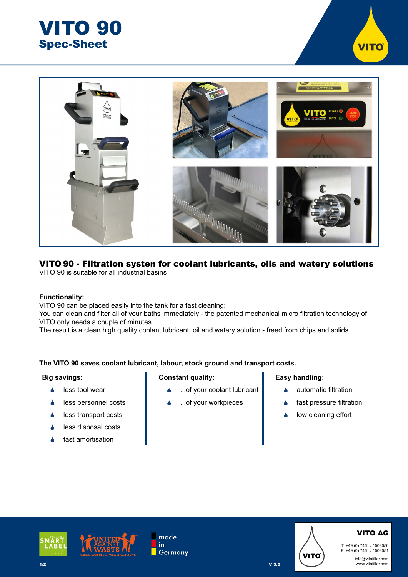



#### VITO 90 - Filtration systen for coolant lubricants, oils and watery solutions VITO 90 is suitable for all industrial basins

## **Functionality:**

VITO 90 can be placed easily into the tank for a fast cleaning:

You can clean and filter all of your baths immediately - the patented mechanical micro filtration technology of VITO only needs a couple of minutes.

The result is a clean high quality coolant lubricant, oil and watery solution - freed from chips and solids.

## **The VITO 90 saves coolant lubricant, labour, stock ground and transport costs.**

#### **Big savings:**

- $\triangle$  less tool wear
- **•** less personnel costs
- **▲** less transport costs
- $\triangle$  less disposal costs
- fast amortisation

#### **Constant quality:**

- ...of your coolant lubricant
- ...of your workpieces

#### **Easy handling:**

- automatic filtration
- fast pressure filtration
- low cleaning effort





made in **Germany** 



V 3.0

# VITO AG

T: +49 (0) 7461 / 1508050 F: +49 (0) 7461 / 1508051